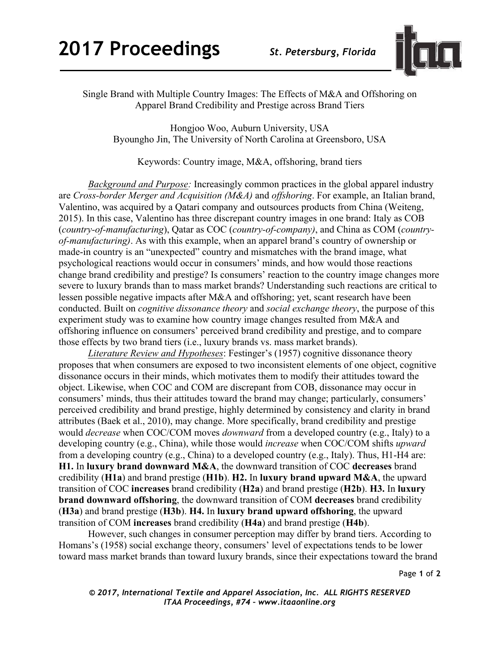

Single Brand with Multiple Country Images: The Effects of M&A and Offshoring on Apparel Brand Credibility and Prestige across Brand Tiers

Hongjoo Woo, Auburn University, USA Byoungho Jin, The University of North Carolina at Greensboro, USA

Keywords: Country image, M&A, offshoring, brand tiers

*Background and Purpose:* Increasingly common practices in the global apparel industry are *Cross-border Merger and Acquisition (M&A)* and *offshoring*. For example, an Italian brand, Valentino, was acquired by a Qatari company and outsources products from China (Weiteng, 2015). In this case, Valentino has three discrepant country images in one brand: Italy as COB (*country-of-manufacturing*), Qatar as COC (*country-of-company)*, and China as COM (*countryof-manufacturing)*. As with this example, when an apparel brand's country of ownership or made-in country is an "unexpected" country and mismatches with the brand image, what psychological reactions would occur in consumers' minds, and how would those reactions change brand credibility and prestige? Is consumers' reaction to the country image changes more severe to luxury brands than to mass market brands? Understanding such reactions are critical to lessen possible negative impacts after M&A and offshoring; yet, scant research have been conducted. Built on *cognitive dissonance theory* and *social exchange theory*, the purpose of this experiment study was to examine how country image changes resulted from M&A and offshoring influence on consumers' perceived brand credibility and prestige, and to compare those effects by two brand tiers (i.e., luxury brands vs. mass market brands).

*Literature Review and Hypotheses*: Festinger's (1957) cognitive dissonance theory proposes that when consumers are exposed to two inconsistent elements of one object, cognitive dissonance occurs in their minds, which motivates them to modify their attitudes toward the object. Likewise, when COC and COM are discrepant from COB, dissonance may occur in consumers' minds, thus their attitudes toward the brand may change; particularly, consumers' perceived credibility and brand prestige, highly determined by consistency and clarity in brand attributes (Baek et al., 2010), may change. More specifically, brand credibility and prestige would *decrease* when COC/COM moves *downward* from a developed country (e.g., Italy) to a developing country (e.g., China), while those would *increase* when COC/COM shifts *upward* from a developing country (e.g., China) to a developed country (e.g., Italy). Thus, H1-H4 are: **H1.** In **luxury brand downward M&A**, the downward transition of COC **decreases** brand credibility (**H1a**) and brand prestige (**H1b**). **H2.** In **luxury brand upward M&A**, the upward transition of COC **increases** brand credibility (**H2a**) and brand prestige (**H2b**). **H3.** In **luxury brand downward offshoring**, the downward transition of COM **decreases** brand credibility (**H3a**) and brand prestige (**H3b**). **H4.** In **luxury brand upward offshoring**, the upward transition of COM **increases** brand credibility (**H4a**) and brand prestige (**H4b**).

However, such changes in consumer perception may differ by brand tiers. According to Homans's (1958) social exchange theory, consumers' level of expectations tends to be lower toward mass market brands than toward luxury brands, since their expectations toward the brand